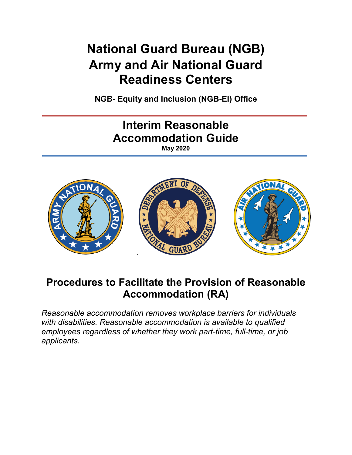# **National Guard Bureau (NGB) Army and Air National Guard Readiness Centers**

**NGB- Equity and Inclusion (NGB-EI) Office**



## **Procedures to Facilitate the Provision of Reasonable Accommodation (RA)**

*Reasonable accommodation removes workplace barriers for individuals with disabilities. Reasonable accommodation is available to qualified employees regardless of whether they work part-time, full-time, or job applicants.*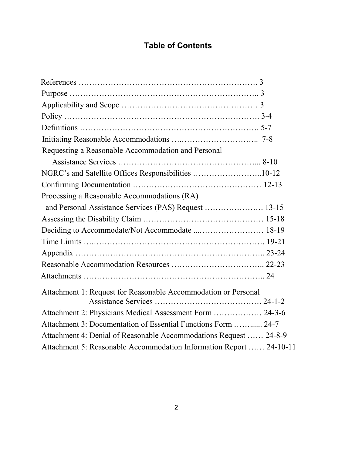## **Table of Contents**

| Requesting a Reasonable Accommodation and Personal                  |  |
|---------------------------------------------------------------------|--|
|                                                                     |  |
| NGRC's and Satellite Offices Responsibilities 10-12                 |  |
|                                                                     |  |
| Processing a Reasonable Accommodations (RA)                         |  |
| and Personal Assistance Services (PAS) Request  13-15               |  |
|                                                                     |  |
| Deciding to Accommodate/Not Accommodate  18-19                      |  |
|                                                                     |  |
|                                                                     |  |
|                                                                     |  |
|                                                                     |  |
| Attachment 1: Request for Reasonable Accommodation or Personal      |  |
| Attachment 2: Physicians Medical Assessment Form  24-3-6            |  |
| Attachment 3: Documentation of Essential Functions Form  24-7       |  |
| Attachment 4: Denial of Reasonable Accommodations Request  24-8-9   |  |
| Attachment 5: Reasonable Accommodation Information Report  24-10-11 |  |
|                                                                     |  |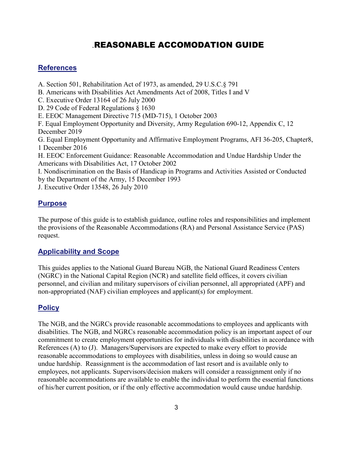### .REASONABLE ACCOMODATION GUIDE

### **References**

A. Section 501, Rehabilitation Act of 1973, as amended, 29 U.S.C.§ 791

B. Americans with Disabilities Act Amendments Act of 2008, Titles I and V

C. Executive Order 13164 of 26 July 2000

D. 29 Code of Federal Regulations § 1630

E. EEOC Management Directive 715 (MD-715), 1 October 2003

F. Equal Employment Opportunity and Diversity, Army Regulation 690-12, Appendix C, 12 December 2019

G. Equal Employment Opportunity and Affirmative Employment Programs, AFI 36-205, Chapter8, 1 December 2016

H. EEOC Enforcement Guidance: Reasonable Accommodation and Undue Hardship Under the Americans with Disabilities Act, 17 October 2002

I. Nondiscrimination on the Basis of Handicap in Programs and Activities Assisted or Conducted by the Department of the Army, 15 December 1993

J. Executive Order 13548, 26 July 2010

### **Purpose**

The purpose of this guide is to establish guidance, outline roles and responsibilities and implement the provisions of the Reasonable Accommodations (RA) and Personal Assistance Service (PAS) request.

### **Applicability and Scope**

This guides applies to the National Guard Bureau NGB, the National Guard Readiness Centers (NGRC) in the National Capital Region (NCR) and satellite field offices, it covers civilian personnel, and civilian and military supervisors of civilian personnel, all appropriated (APF) and non-appropriated (NAF) civilian employees and applicant(s) for employment.

### **Policy**

The NGB, and the NGRCs provide reasonable accommodations to employees and applicants with disabilities. The NGB, and NGRCs reasonable accommodation policy is an important aspect of our commitment to create employment opportunities for individuals with disabilities in accordance with References (A) to (J). Managers/Supervisors are expected to make every effort to provide reasonable accommodations to employees with disabilities, unless in doing so would cause an undue hardship. Reassignment is the accommodation of last resort and is available only to employees, not applicants. Supervisors/decision makers will consider a reassignment only if no reasonable accommodations are available to enable the individual to perform the essential functions of his/her current position, or if the only effective accommodation would cause undue hardship.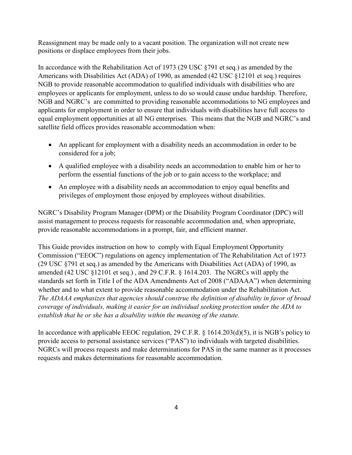Reassignment may be made only to a vacant position. The organization will not create new positions or displace employees from their jobs.

In accordance with the Rehabilitation Act of 1973 (29 USC §791 et seq.) as amended by the Americans with Disabilities Act (ADA) of 1990, as amended (42 USC §12101 et seq.) requires NGB to provide reasonable accommodation to qualified individuals with disabilities who are employees or applicants for employment, unless to do so would cause undue hardship. Therefore, NGB and NGRC's are committed to providing reasonable accommodations to NG employees and applicants for employment in order to ensure that individuals with disabilities have full access to equal employment opportunities at all NG enterprises. This means that the NGB and NGRC's and satellite field offices provides reasonable accommodation when:

- An applicant for employment with a disability needs an accommodation in order to be considered for a job;
- A qualified employee with a disability needs an accommodation to enable him or her to perform the essential functions of the job or to gain access to the workplace; and
- An employee with a disability needs an accommodation to enjoy equal benefits and privileges of employment those enjoyed by employees without disabilities.

NGRC's Disability Program Manager (DPM) or the Disability Program Coordinator (DPC) will assist management to process requests for reasonable accommodation and, when appropriate, provide reasonable accommodations in a prompt, fair, and efficient manner.

This Guide provides instruction on how to comply with Equal Employment Opportunity Commission ("EEOC") regulations on agency implementation of The Rehabilitation Act of 1973 (29 USC §791 et seq.) as amended by the Americans with Disabilities Act (ADA) of 1990, as amended (42 USC §12101 et seq.) , and 29 C.F.R. § 1614.203. The NGRCs will apply the standards set forth in Title I of the ADA Amendments Act of 2008 ("ADAAA") when determining whether and to what extent to provide reasonable accommodation under the Rehabilitation Act. *The ADAAA emphasizes that agencies should construe the definition of disability in favor of broad coverage of individuals, making it easier for an individual seeking protection under the ADA to establish that he or she has a disability within the meaning of the statute.* 

In accordance with applicable EEOC regulation, 29 C.F.R. § 1614.203(d)(5), it is NGB's policy to provide access to personal assistance services ("PAS") to individuals with targeted disabilities. NGRCs will process requests and make determinations for PAS in the same manner as it processes requests and makes determinations for reasonable accommodation.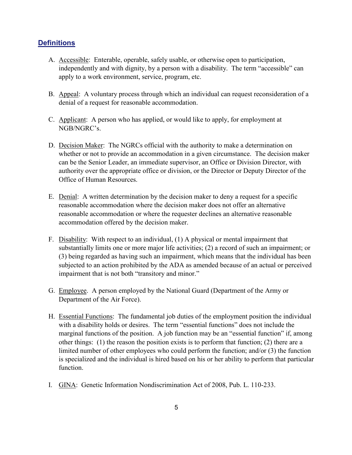### **Definitions**

- A. Accessible: Enterable, operable, safely usable, or otherwise open to participation, independently and with dignity, by a person with a disability. The term "accessible" can apply to a work environment, service, program, etc.
- B. Appeal: A voluntary process through which an individual can request reconsideration of a denial of a request for reasonable accommodation.
- C. Applicant: A person who has applied, or would like to apply, for employment at NGB/NGRC's.
- D. Decision Maker: The NGRCs official with the authority to make a determination on whether or not to provide an accommodation in a given circumstance. The decision maker can be the Senior Leader, an immediate supervisor, an Office or Division Director, with authority over the appropriate office or division, or the Director or Deputy Director of the Office of Human Resources.
- E. Denial: A written determination by the decision maker to deny a request for a specific reasonable accommodation where the decision maker does not offer an alternative reasonable accommodation or where the requester declines an alternative reasonable accommodation offered by the decision maker.
- F. Disability: With respect to an individual, (1) A physical or mental impairment that substantially limits one or more major life activities; (2) a record of such an impairment; or (3) being regarded as having such an impairment, which means that the individual has been subjected to an action prohibited by the ADA as amended because of an actual or perceived impairment that is not both "transitory and minor."
- G. Employee. A person employed by the National Guard (Department of the Army or Department of the Air Force).
- H. Essential Functions: The fundamental job duties of the employment position the individual with a disability holds or desires. The term "essential functions" does not include the marginal functions of the position. A job function may be an "essential function" if, among other things: (1) the reason the position exists is to perform that function; (2) there are a limited number of other employees who could perform the function; and/or (3) the function is specialized and the individual is hired based on his or her ability to perform that particular function.
- I. GINA: Genetic Information Nondiscrimination Act of 2008, Pub. L. 110-233.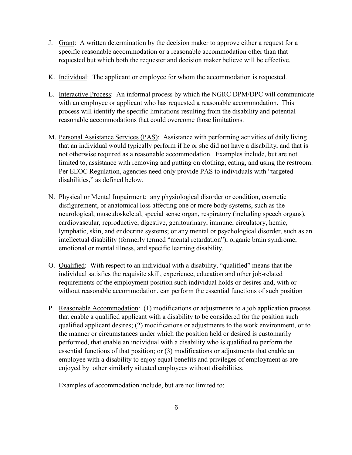- J. Grant: A written determination by the decision maker to approve either a request for a specific reasonable accommodation or a reasonable accommodation other than that requested but which both the requester and decision maker believe will be effective.
- K. Individual: The applicant or employee for whom the accommodation is requested.
- L. Interactive Process: An informal process by which the NGRC DPM/DPC will communicate with an employee or applicant who has requested a reasonable accommodation. This process will identify the specific limitations resulting from the disability and potential reasonable accommodations that could overcome those limitations.
- M. Personal Assistance Services (PAS): Assistance with performing activities of daily living that an individual would typically perform if he or she did not have a disability, and that is not otherwise required as a reasonable accommodation. Examples include, but are not limited to, assistance with removing and putting on clothing, eating, and using the restroom. Per EEOC Regulation, agencies need only provide PAS to individuals with "targeted disabilities," as defined below.
- N. Physical or Mental Impairment: any physiological disorder or condition, cosmetic disfigurement, or anatomical loss affecting one or more body systems, such as the neurological, musculoskeletal, special sense organ, respiratory (including speech organs), cardiovascular, reproductive, digestive, genitourinary, immune, circulatory, hemic, lymphatic, skin, and endocrine systems; or any mental or psychological disorder, such as an intellectual disability (formerly termed "mental retardation"), organic brain syndrome, emotional or mental illness, and specific learning disability.
- O. Qualified: With respect to an individual with a [disability,](https://www.law.cornell.edu/definitions/index.php?width=840&height=800&iframe=true&def_id=ccbf4d103f3efc96fe0aadfd698103b0&term_occur=13&term_src=Title:29:Subtitle:B:Chapter:XIV:Part:1630:1630.2) "qualified" means that the individual satisfies the requisite skill, experience, education and other job-related requirements of the employment position such individual holds or desires and, with or without [reasonable accommodation,](https://www.law.cornell.edu/definitions/index.php?width=840&height=800&iframe=true&def_id=e3f2627d443885840d63fe7bb3ca2385&term_occur=7&term_src=Title:29:Subtitle:B:Chapter:XIV:Part:1630:1630.2) can perform the [essential functions](https://www.law.cornell.edu/definitions/index.php?width=840&height=800&iframe=true&def_id=5559956b11aae3f78d9c3f2ac40b41a6&term_occur=1&term_src=Title:29:Subtitle:B:Chapter:XIV:Part:1630:1630.2) of such position
- P. Reasonable Accommodation: (1) modifications or adjustments to a job application process that enable a qualified applicant with a disability to be considered for the position such qualified applicant desires; (2) modifications or adjustments to the work environment, or to the manner or circumstances under which the position held or desired is customarily performed, that enable an individual with a disability who is qualified to perform the essential functions of that position; or (3) modifications or adjustments that enable an employee with a disability to enjoy equal benefits and privileges of employment as are enjoyed by other similarly situated employees without disabilities.

Examples of accommodation include, but are not limited to: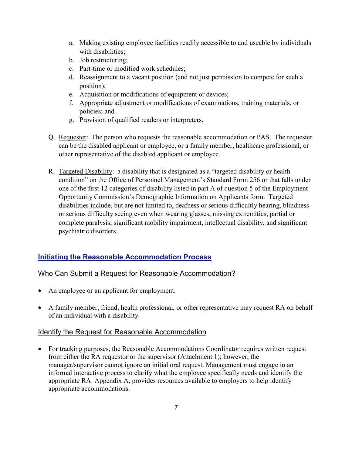- a. Making existing employee facilities readily accessible to and useable by individuals with disabilities:
- b. Job restructuring;
- c. Part-time or modified work schedules;
- d. Reassignment to a vacant position (and not just permission to compete for such a position);
- e. Acquisition or modifications of equipment or devices;
- f. Appropriate adjustment or modifications of examinations, training materials, or policies; and
- g. Provision of qualified readers or interpreters.
- Q. Requester: The person who requests the reasonable accommodation or PAS. The requester can be the disabled applicant or employee, or a family member, healthcare professional, or other representative of the disabled applicant or employee.
- R. Targeted Disability: a disability that is designated as a "targeted disability or health condition" on the Office of Personnel Management's Standard Form 256 or that falls under one of the first 12 categories of disability listed in part A of question 5 of the Employment Opportunity Commission's Demographic Information on Applicants form. Targeted disabilities include, but are not limited to, deafness or serious difficultly hearing, blindness or serious difficulty seeing even when wearing glasses, missing extremities, partial or complete paralysis, significant mobility impairment, intellectual disability, and significant psychiatric disorders.

### **Initiating the Reasonable Accommodation Process**

### Who Can Submit a Request for Reasonable Accommodation?

- An employee or an applicant for employment.
- A family member, friend, health professional, or other representative may request RA on behalf of an individual with a disability.

### Identify the Request for Reasonable Accommodation

• For tracking purposes, the Reasonable Accommodations Coordinator requires written request from either the RA requestor or the supervisor (Attachment 1); however, the manager/supervisor cannot ignore an initial oral request. Management must engage in an informal interactive process to clarify what the employee specifically needs and identify the appropriate RA. Appendix A, provides resources available to employers to help identify appropriate accommodations.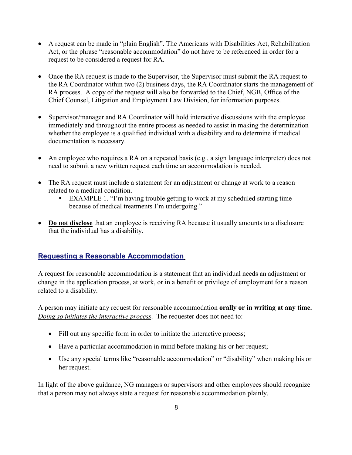- A request can be made in "plain English". The Americans with Disabilities Act, Rehabilitation Act, or the phrase "reasonable accommodation" do not have to be referenced in order for a request to be considered a request for RA.
- Once the RA request is made to the Supervisor, the Supervisor must submit the RA request to the RA Coordinator within two (2) business days, the RA Coordinator starts the management of RA process. A copy of the request will also be forwarded to the Chief, NGB, Office of the Chief Counsel, Litigation and Employment Law Division, for information purposes.
- Supervisor/manager and RA Coordinator will hold interactive discussions with the employee immediately and throughout the entire process as needed to assist in making the determination whether the employee is a qualified individual with a disability and to determine if medical documentation is necessary.
- An employee who requires a RA on a repeated basis (e.g., a sign language interpreter) does not need to submit a new written request each time an accommodation is needed.
- The RA request must include a statement for an adjustment or change at work to a reason related to a medical condition.
	- EXAMPLE 1. "I'm having trouble getting to work at my scheduled starting time because of medical treatments I'm undergoing."
- **Do not disclose** that an employee is receiving RA because it usually amounts to a disclosure that the individual has a disability.

### **Requesting a Reasonable Accommodation**

A request for reasonable accommodation is a statement that an individual needs an adjustment or change in the application process, at work, or in a benefit or privilege of employment for a reason related to a disability.

A person may initiate any request for reasonable accommodation **orally or in writing at any time.** *Doing so initiates the interactive process*. The requester does not need to:

- Fill out any specific form in order to initiate the interactive process;
- Have a particular accommodation in mind before making his or her request;
- Use any special terms like "reasonable accommodation" or "disability" when making his or her request.

In light of the above guidance, NG managers or supervisors and other employees should recognize that a person may not always state a request for reasonable accommodation plainly.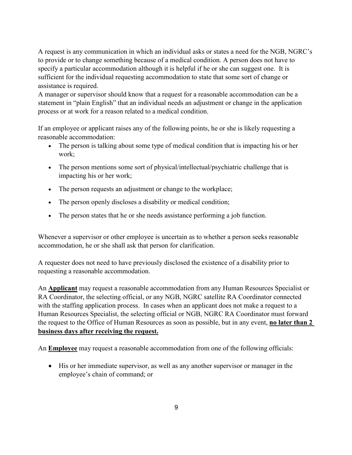A request is any communication in which an individual asks or states a need for the NGB, NGRC's to provide or to change something because of a medical condition. A person does not have to specify a particular accommodation although it is helpful if he or she can suggest one. It is sufficient for the individual requesting accommodation to state that some sort of change or assistance is required.

A manager or supervisor should know that a request for a reasonable accommodation can be a statement in "plain English" that an individual needs an adjustment or change in the application process or at work for a reason related to a medical condition.

If an employee or applicant raises any of the following points, he or she is likely requesting a reasonable accommodation:

- The person is talking about some type of medical condition that is impacting his or her work;
- The person mentions some sort of physical/intellectual/psychiatric challenge that is impacting his or her work;
- The person requests an adjustment or change to the workplace;
- The person openly discloses a disability or medical condition;
- The person states that he or she needs assistance performing a job function.

Whenever a supervisor or other employee is uncertain as to whether a person seeks reasonable accommodation, he or she shall ask that person for clarification.

A requester does not need to have previously disclosed the existence of a disability prior to requesting a reasonable accommodation.

An **Applicant** may request a reasonable accommodation from any Human Resources Specialist or RA Coordinator, the selecting official, or any NGB, NGRC satellite RA Coordinator connected with the staffing application process. In cases when an applicant does not make a request to a Human Resources Specialist, the selecting official or NGB, NGRC RA Coordinator must forward the request to the Office of Human Resources as soon as possible, but in any event, **no later than 2 business days after receiving the request.**

An **Employee** may request a reasonable accommodation from one of the following officials:

• His or her immediate supervisor, as well as any another supervisor or manager in the employee's chain of command; or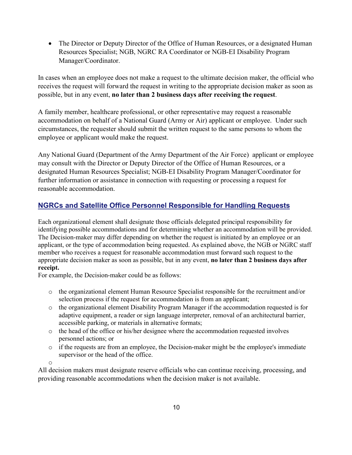• The Director or Deputy Director of the Office of Human Resources, or a designated Human Resources Specialist; NGB, NGRC RA Coordinator or NGB-EI Disability Program Manager/Coordinator.

In cases when an employee does not make a request to the ultimate decision maker, the official who receives the request will forward the request in writing to the appropriate decision maker as soon as possible, but in any event, **no later than 2 business days after receiving the request**.

A family member, healthcare professional, or other representative may request a reasonable accommodation on behalf of a National Guard (Army or Air) applicant or employee. Under such circumstances, the requester should submit the written request to the same persons to whom the employee or applicant would make the request.

Any National Guard (Department of the Army Department of the Air Force) applicant or employee may consult with the Director or Deputy Director of the Office of Human Resources, or a designated Human Resources Specialist; NGB-EI Disability Program Manager/Coordinator for further information or assistance in connection with requesting or processing a request for reasonable accommodation.

### **NGRCs and Satellite Office Personnel Responsible for Handling Requests**

Each organizational element shall designate those officials delegated principal responsibility for identifying possible accommodations and for determining whether an accommodation will be provided. The Decision-maker may differ depending on whether the request is initiated by an employee or an applicant, or the type of accommodation being requested. As explained above, the NGB or NGRC staff member who receives a request for reasonable accommodation must forward such request to the appropriate decision maker as soon as possible, but in any event, **no later than 2 business days after receipt.**

For example, the Decision-maker could be as follows:

- o the organizational element Human Resource Specialist responsible for the recruitment and/or selection process if the request for accommodation is from an applicant;
- o the organizational element Disability Program Manager if the accommodation requested is for adaptive equipment, a reader or sign language interpreter, removal of an architectural barrier, accessible parking, or materials in alternative formats;
- o the head of the office or his/her designee where the accommodation requested involves personnel actions; or
- o if the requests are from an employee, the Decision-maker might be the employee's immediate supervisor or the head of the office.

o

All decision makers must designate reserve officials who can continue receiving, processing, and providing reasonable accommodations when the decision maker is not available.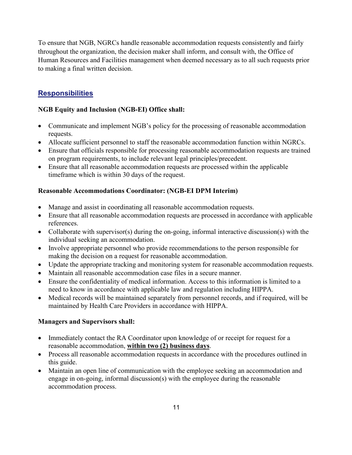To ensure that NGB, NGRCs handle reasonable accommodation requests consistently and fairly throughout the organization, the decision maker shall inform, and consult with, the Office of Human Resources and Facilities management when deemed necessary as to all such requests prior to making a final written decision.

### **Responsibilities**

### **NGB Equity and Inclusion (NGB-EI) Office shall:**

- Communicate and implement NGB's policy for the processing of reasonable accommodation requests.
- Allocate sufficient personnel to staff the reasonable accommodation function within NGRCs.
- Ensure that officials responsible for processing reasonable accommodation requests are trained on program requirements, to include relevant legal principles/precedent.
- Ensure that all reasonable accommodation requests are processed within the applicable timeframe which is within 30 days of the request.

### **Reasonable Accommodations Coordinator: (NGB-EI DPM Interim)**

- Manage and assist in coordinating all reasonable accommodation requests.
- Ensure that all reasonable accommodation requests are processed in accordance with applicable references.
- Collaborate with supervisor(s) during the on-going, informal interactive discussion(s) with the individual seeking an accommodation.
- Involve appropriate personnel who provide recommendations to the person responsible for making the decision on a request for reasonable accommodation.
- Update the appropriate tracking and monitoring system for reasonable accommodation requests.
- Maintain all reasonable accommodation case files in a secure manner.
- Ensure the confidentiality of medical information. Access to this information is limited to a need to know in accordance with applicable law and regulation including HIPPA.
- Medical records will be maintained separately from personnel records, and if required, will be maintained by Health Care Providers in accordance with HIPPA.

### **Managers and Supervisors shall:**

- Immediately contact the RA Coordinator upon knowledge of or receipt for request for a reasonable accommodation, **within two (2) business days**.
- Process all reasonable accommodation requests in accordance with the procedures outlined in this guide.
- Maintain an open line of communication with the employee seeking an accommodation and engage in on-going, informal discussion(s) with the employee during the reasonable accommodation process.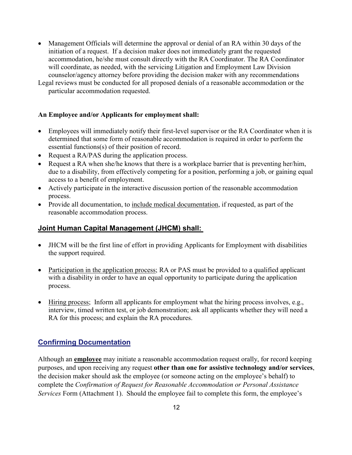- Management Officials will determine the approval or denial of an RA within 30 days of the initiation of a request. If a decision maker does not immediately grant the requested accommodation, he/she must consult directly with the RA Coordinator. The RA Coordinator will coordinate, as needed, with the servicing Litigation and Employment Law Division counselor/agency attorney before providing the decision maker with any recommendations
- Legal reviews must be conducted for all proposed denials of a reasonable accommodation or the particular accommodation requested.

#### **An Employee and/or Applicants for employment shall:**

- Employees will immediately notify their first-level supervisor or the RA Coordinator when it is determined that some form of reasonable accommodation is required in order to perform the essential functions(s) of their position of record.
- Request a RA/PAS during the application process.
- Request a RA when she/he knows that there is a workplace barrier that is preventing her/him, due to a disability, from effectively competing for a position, performing a job, or gaining equal access to a benefit of employment.
- Actively participate in the interactive discussion portion of the reasonable accommodation process.
- Provide all documentation, to include medical documentation, if requested, as part of the reasonable accommodation process.

### **Joint Human Capital Management (JHCM) shall:**

- JHCM will be the first line of effort in providing Applicants for Employment with disabilities the support required.
- Participation in the application process; RA or PAS must be provided to a qualified applicant with a disability in order to have an equal opportunity to participate during the application process.
- Hiring process; Inform all applicants for employment what the hiring process involves, e.g., interview, timed written test, or job demonstration; ask all applicants whether they will need a RA for this process; and explain the RA procedures.

### **Confirming Documentation**

Although an **employee** may initiate a reasonable accommodation request orally, for record keeping purposes, and upon receiving any request **other than one for assistive technology and/or services**, the decision maker should ask the employee (or someone acting on the employee's behalf) to complete the *Confirmation of Request for Reasonable Accommodation or Personal Assistance Services* Form (Attachment 1). Should the employee fail to complete this form, the employee's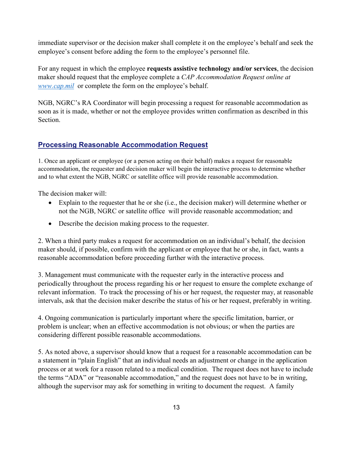immediate supervisor or the decision maker shall complete it on the employee's behalf and seek the employee's consent before adding the form to the employee's personnel file.

For any request in which the employee **requests assistive technology and/or services**, the decision maker should request that the employee complete a *CAP Accommodation Request online at [www.cap.mil](http://www.cap.mil/)* or complete the form on the employee's behalf.

NGB, NGRC's RA Coordinator will begin processing a request for reasonable accommodation as soon as it is made, whether or not the employee provides written confirmation as described in this Section.

### **Processing Reasonable Accommodation Request**

1. Once an applicant or employee (or a person acting on their behalf) makes a request for reasonable accommodation, the requester and decision maker will begin the interactive process to determine whether and to what extent the NGB, NGRC or satellite office will provide reasonable accommodation.

The decision maker will:

- Explain to the requester that he or she (i.e., the decision maker) will determine whether or not the NGB, NGRC or satellite office will provide reasonable accommodation; and
- Describe the decision making process to the requester.

2. When a third party makes a request for accommodation on an individual's behalf, the decision maker should, if possible, confirm with the applicant or employee that he or she, in fact, wants a reasonable accommodation before proceeding further with the interactive process.

3. Management must communicate with the requester early in the interactive process and periodically throughout the process regarding his or her request to ensure the complete exchange of relevant information. To track the processing of his or her request, the requester may, at reasonable intervals, ask that the decision maker describe the status of his or her request, preferably in writing.

4. Ongoing communication is particularly important where the specific limitation, barrier, or problem is unclear; when an effective accommodation is not obvious; or when the parties are considering different possible reasonable accommodations.

5. As noted above, a supervisor should know that a request for a reasonable accommodation can be a statement in "plain English" that an individual needs an adjustment or change in the application process or at work for a reason related to a medical condition. The request does not have to include the terms "ADA" or "reasonable accommodation," and the request does not have to be in writing, although the supervisor may ask for something in writing to document the request. A family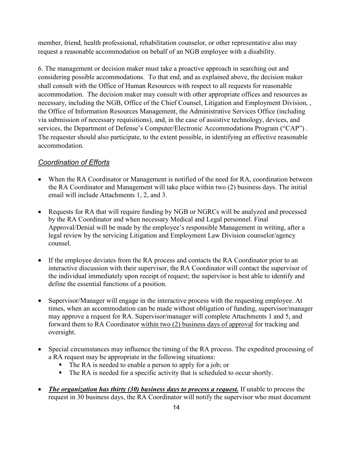member, friend, health professional, rehabilitation counselor, or other representative also may request a reasonable accommodation on behalf of an NGB employee with a disability.

6. The management or decision maker must take a proactive approach in searching out and considering possible accommodations. To that end, and as explained above, the decision maker shall consult with the Office of Human Resources with respect to all requests for reasonable accommodation. The decision maker may consult with other appropriate offices and resources as necessary, including the NGB, Office of the Chief Counsel, Litigation and Employment Division, , the Office of Information Resources Management, the Administrative Services Office (including via submission of necessary requisitions), and, in the case of assistive technology, devices, and services, the Department of Defense's Computer/Electronic Accommodations Program ("CAP") . The requester should also participate, to the extent possible, in identifying an effective reasonable accommodation.

### *Coordination of Efforts*

- When the RA Coordinator or Management is notified of the need for RA, coordination between the RA Coordinator and Management will take place within two (2) business days. The initial email will include Attachments 1, 2, and 3.
- Requests for RA that will require funding by NGB or NGRCs will be analyzed and processed by the RA Coordinator and when necessary Medical and Legal personnel. Final Approval/Denial will be made by the employee's responsible Management in writing, after a legal review by the servicing Litigation and Employment Law Division counselor/agency counsel.
- If the employee deviates from the RA process and contacts the RA Coordinator prior to an interactive discussion with their supervisor, the RA Coordinator will contact the supervisor of the individual immediately upon receipt of request; the supervisor is best able to identify and define the essential functions of a position.
- Supervisor/Manager will engage in the interactive process with the requesting employee. At times, when an accommodation can be made without obligation of funding, supervisor/manager may approve a request for RA. Supervisor/manager will complete Attachments 1 and 5, and forward them to RA Coordinator within two (2) business days of approval for tracking and oversight.
- Special circumstances may influence the timing of the RA process. The expedited processing of a RA request may be appropriate in the following situations:
	- The RA is needed to enable a person to apply for a job; or
	- The RA is needed for a specific activity that is scheduled to occur shortly.
- *The organization has thirty (30) business days to process a request.* If unable to process the request in 30 business days, the RA Coordinator will notify the supervisor who must document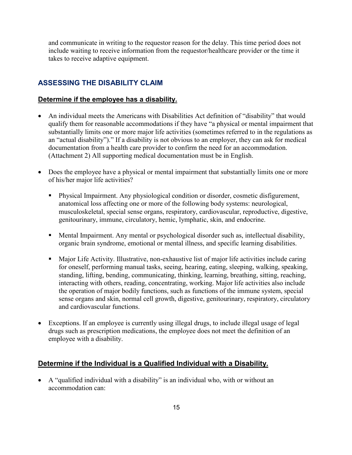and communicate in writing to the requestor reason for the delay. This time period does not include waiting to receive information from the requestor/healthcare provider or the time it takes to receive adaptive equipment.

### **ASSESSING THE DISABILITY CLAIM**

#### **Determine if the employee has a disability.**

- An individual meets the Americans with Disabilities Act definition of "disability" that would qualify them for reasonable accommodations if they have "a physical or mental impairment that substantially limits one or more major life activities (sometimes referred to in the regulations as an "actual disability")." If a disability is not obvious to an employer, they can ask for medical documentation from a health care provider to confirm the need for an accommodation. (Attachment 2) All supporting medical documentation must be in English.
- Does the employee have a physical or mental impairment that substantially limits one or more of his/her major life activities?
	- Physical Impairment. Any physiological condition or disorder, cosmetic disfigurement, anatomical loss affecting one or more of the following body systems: neurological, musculoskeletal, special sense organs, respiratory, cardiovascular, reproductive, digestive, genitourinary, immune, circulatory, hemic, lymphatic, skin, and endocrine.
	- Mental Impairment. Any mental or psychological disorder such as, intellectual disability, organic brain syndrome, emotional or mental illness, and specific learning disabilities.
	- Major Life Activity. Illustrative, non-exhaustive list of major life activities include caring for oneself, performing manual tasks, seeing, hearing, eating, sleeping, walking, speaking, standing, lifting, bending, communicating, thinking, learning, breathing, sitting, reaching, interacting with others, reading, concentrating, working. Major life activities also include the operation of major bodily functions, such as functions of the immune system, special sense organs and skin, normal cell growth, digestive, genitourinary, respiratory, circulatory and cardiovascular functions.
- Exceptions. If an employee is currently using illegal drugs, to include illegal usage of legal drugs such as prescription medications, the employee does not meet the definition of an employee with a disability.

#### **Determine if the Individual is a Qualified Individual with a Disability.**

• A "qualified individual with a disability" is an individual who, with or without an accommodation can: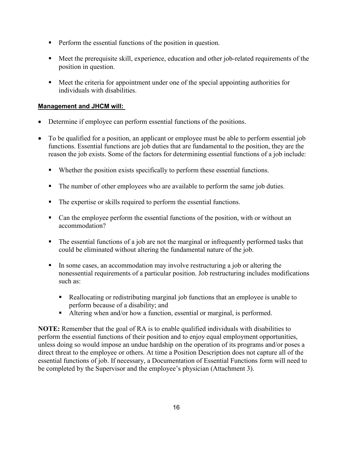- **Perform the essential functions of the position in question.**
- Meet the prerequisite skill, experience, education and other job-related requirements of the position in question.
- Meet the criteria for appointment under one of the special appointing authorities for individuals with disabilities.

### **Management and JHCM will:**

- Determine if employee can perform essential functions of the positions.
- To be qualified for a position, an applicant or employee must be able to perform essential job functions. Essential functions are job duties that are fundamental to the position, they are the reason the job exists. Some of the factors for determining essential functions of a job include:
	- Whether the position exists specifically to perform these essential functions.
	- The number of other employees who are available to perform the same job duties.
	- The expertise or skills required to perform the essential functions.
	- Can the employee perform the essential functions of the position, with or without an accommodation?
	- The essential functions of a job are not the marginal or infrequently performed tasks that could be eliminated without altering the fundamental nature of the job.
	- In some cases, an accommodation may involve restructuring a job or altering the nonessential requirements of a particular position. Job restructuring includes modifications such as:
		- Reallocating or redistributing marginal job functions that an employee is unable to perform because of a disability; and
		- Altering when and/or how a function, essential or marginal, is performed.

**NOTE:** Remember that the goal of RA is to enable qualified individuals with disabilities to perform the essential functions of their position and to enjoy equal employment opportunities, unless doing so would impose an undue hardship on the operation of its programs and/or poses a direct threat to the employee or others. At time a Position Description does not capture all of the essential functions of job. If necessary, a Documentation of Essential Functions form will need to be completed by the Supervisor and the employee's physician (Attachment 3).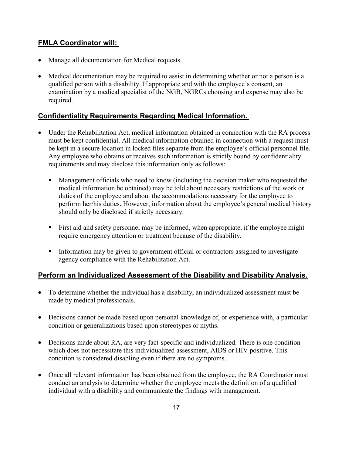### **FMLA Coordinator will:**

- Manage all documentation for Medical requests.
- Medical documentation may be required to assist in determining whether or not a person is a qualified person with a disability. If appropriate and with the employee's consent, an examination by a medical specialist of the NGB, NGRCs choosing and expense may also be required.

### **Confidentiality Requirements Regarding Medical Information.**

- Under the Rehabilitation Act, medical information obtained in connection with the RA process must be kept confidential. All medical information obtained in connection with a request must be kept in a secure location in locked files separate from the employee's official personnel file. Any employee who obtains or receives such information is strictly bound by confidentiality requirements and may disclose this information only as follows:
	- **Management officials who need to know (including the decision maker who requested the** medical information be obtained) may be told about necessary restrictions of the work or duties of the employee and about the accommodations necessary for the employee to perform her/his duties. However, information about the employee's general medical history should only be disclosed if strictly necessary.
	- First aid and safety personnel may be informed, when appropriate, if the employee might require emergency attention or treatment because of the disability.
	- **Information may be given to government official or contractors assigned to investigate** agency compliance with the Rehabilitation Act.

### **Perform an Individualized Assessment of the Disability and Disability Analysis.**

- To determine whether the individual has a disability, an individualized assessment must be made by medical professionals.
- Decisions cannot be made based upon personal knowledge of, or experience with, a particular condition or generalizations based upon stereotypes or myths.
- Decisions made about RA, are very fact-specific and individualized. There is one condition which does not necessitate this individualized assessment, AIDS or HIV positive. This condition is considered disabling even if there are no symptoms.
- Once all relevant information has been obtained from the employee, the RA Coordinator must conduct an analysis to determine whether the employee meets the definition of a qualified individual with a disability and communicate the findings with management.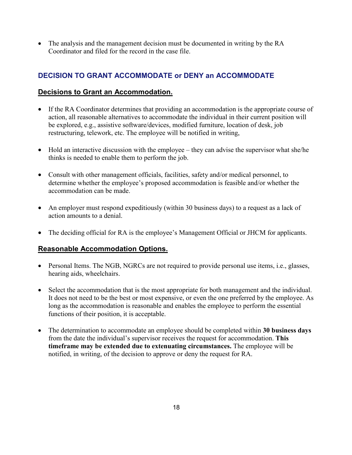• The analysis and the management decision must be documented in writing by the RA Coordinator and filed for the record in the case file.

### **DECISION TO GRANT ACCOMMODATE or DENY an ACCOMMODATE**

### **Decisions to Grant an Accommodation.**

- If the RA Coordinator determines that providing an accommodation is the appropriate course of action, all reasonable alternatives to accommodate the individual in their current position will be explored, e.g., assistive software/devices, modified furniture, location of desk, job restructuring, telework, etc. The employee will be notified in writing,
- Hold an interactive discussion with the employee they can advise the supervisor what she/he thinks is needed to enable them to perform the job.
- Consult with other management officials, facilities, safety and/or medical personnel, to determine whether the employee's proposed accommodation is feasible and/or whether the accommodation can be made.
- An employer must respond expeditiously (within 30 business days) to a request as a lack of action amounts to a denial.
- The deciding official for RA is the employee's Management Official or JHCM for applicants.

### **Reasonable Accommodation Options.**

- Personal Items. The NGB, NGRCs are not required to provide personal use items, i.e., glasses, hearing aids, wheelchairs.
- Select the accommodation that is the most appropriate for both management and the individual. It does not need to be the best or most expensive, or even the one preferred by the employee. As long as the accommodation is reasonable and enables the employee to perform the essential functions of their position, it is acceptable.
- The determination to accommodate an employee should be completed within **30 business days** from the date the individual's supervisor receives the request for accommodation. **This timeframe may be extended due to extenuating circumstances.** The employee will be notified, in writing, of the decision to approve or deny the request for RA.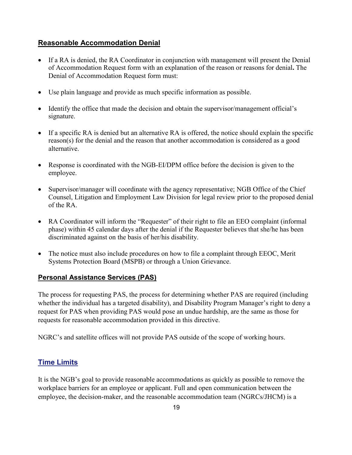### **Reasonable Accommodation Denial**

- If a RA is denied, the RA Coordinator in conjunction with management will present the Denial of Accommodation Request form with an explanation of the reason or reasons for denial**.** The Denial of Accommodation Request form must:
- Use plain language and provide as much specific information as possible.
- Identify the office that made the decision and obtain the supervisor/management official's signature.
- If a specific RA is denied but an alternative RA is offered, the notice should explain the specific reason(s) for the denial and the reason that another accommodation is considered as a good alternative.
- Response is coordinated with the NGB-EI/DPM office before the decision is given to the employee.
- Supervisor/manager will coordinate with the agency representative; NGB Office of the Chief Counsel, Litigation and Employment Law Division for legal review prior to the proposed denial of the RA.
- RA Coordinator will inform the "Requester" of their right to file an EEO complaint (informal phase) within 45 calendar days after the denial if the Requester believes that she/he has been discriminated against on the basis of her/his disability.
- The notice must also include procedures on how to file a complaint through EEOC, Merit Systems Protection Board (MSPB) or through a Union Grievance.

### **Personal Assistance Services (PAS)**

The process for requesting PAS, the process for determining whether PAS are required (including whether the individual has a targeted disability), and Disability Program Manager's right to deny a request for PAS when providing PAS would pose an undue hardship, are the same as those for requests for reasonable accommodation provided in this directive.

NGRC's and satellite offices will not provide PAS outside of the scope of working hours.

### **Time Limits**

It is the NGB's goal to provide reasonable accommodations as quickly as possible to remove the workplace barriers for an employee or applicant. Full and open communication between the employee, the decision-maker, and the reasonable accommodation team (NGRCs/JHCM) is a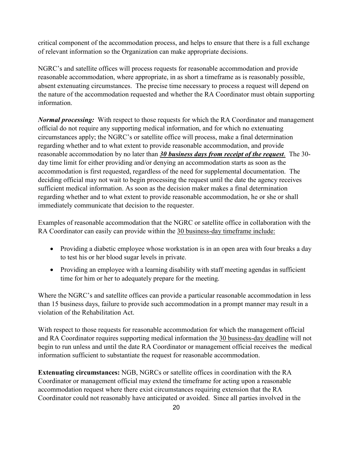critical component of the accommodation process, and helps to ensure that there is a full exchange of relevant information so the Organization can make appropriate decisions.

NGRC's and satellite offices will process requests for reasonable accommodation and provide reasonable accommodation, where appropriate, in as short a timeframe as is reasonably possible, absent extenuating circumstances. The precise time necessary to process a request will depend on the nature of the accommodation requested and whether the RA Coordinator must obtain supporting information.

*Normal processing:* With respect to those requests for which the RA Coordinator and management official do not require any supporting medical information, and for which no extenuating circumstances apply; the NGRC's or satellite office will process, make a final determination regarding whether and to what extent to provide reasonable accommodation, and provide reasonable accommodation by no later than *30 business days from receipt of the request*. The 30 day time limit for either providing and/or denying an accommodation starts as soon as the accommodation is first requested, regardless of the need for supplemental documentation. The deciding official may not wait to begin processing the request until the date the agency receives sufficient medical information. As soon as the decision maker makes a final determination regarding whether and to what extent to provide reasonable accommodation, he or she or shall immediately communicate that decision to the requester.

Examples of reasonable accommodation that the NGRC or satellite office in collaboration with the RA Coordinator can easily can provide within the 30 business-day timeframe include:

- Providing a diabetic employee whose workstation is in an open area with four breaks a day to test his or her blood sugar levels in private.
- Providing an employee with a learning disability with staff meeting agendas in sufficient time for him or her to adequately prepare for the meeting.

Where the NGRC's and satellite offices can provide a particular reasonable accommodation in less than 15 business days, failure to provide such accommodation in a prompt manner may result in a violation of the Rehabilitation Act.

With respect to those requests for reasonable accommodation for which the management official and RA Coordinator requires supporting medical information the 30 business-day deadline will not begin to run unless and until the date RA Coordinator or management official receives the medical information sufficient to substantiate the request for reasonable accommodation.

**Extenuating circumstances:** NGB, NGRCs or satellite offices in coordination with the RA Coordinator or management official may extend the timeframe for acting upon a reasonable accommodation request where there exist circumstances requiring extension that the RA Coordinator could not reasonably have anticipated or avoided. Since all parties involved in the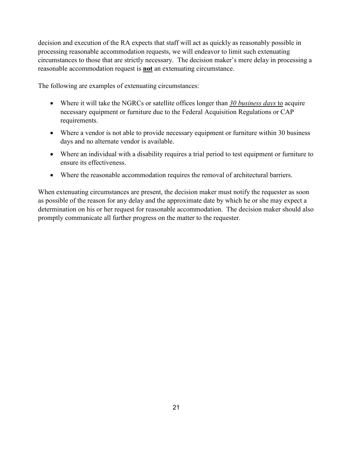decision and execution of the RA expects that staff will act as quickly as reasonably possible in processing reasonable accommodation requests, we will endeavor to limit such extenuating circumstances to those that are strictly necessary. The decision maker's mere delay in processing a reasonable accommodation request is **not** an extenuating circumstance.

The following are examples of extenuating circumstances:

- Where it will take the NGRCs or satellite offices longer than *30 business days* to acquire necessary equipment or furniture due to the Federal Acquisition Regulations or CAP requirements.
- Where a vendor is not able to provide necessary equipment or furniture within 30 business days and no alternate vendor is available.
- Where an individual with a disability requires a trial period to test equipment or furniture to ensure its effectiveness.
- Where the reasonable accommodation requires the removal of architectural barriers.

When extenuating circumstances are present, the decision maker must notify the requester as soon as possible of the reason for any delay and the approximate date by which he or she may expect a determination on his or her request for reasonable accommodation. The decision maker should also promptly communicate all further progress on the matter to the requester.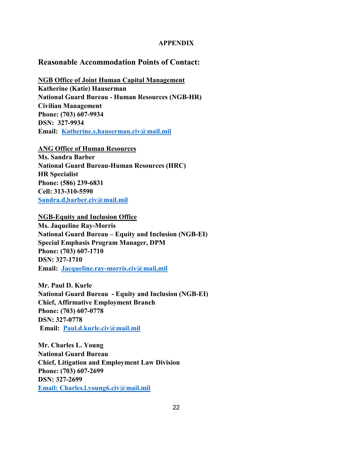#### **APPENDIX**

### **Reasonable Accommodation Points of Contact:**

**NGB Office of Joint Human Capital Management Katherine (Katie) Hauserman National Guard Bureau - Human Resources (NGB-HR) Civilian Management Phone: (703) 607-9934 DSN: 327-9934 Email: [Katherine.s.hauserman.civ@mail.mil](mailto:Katherine.s.hauserman.civ@mail.mil)**

**ANG Office of Human Resources Ms. Sandra Barber National Guard Bureau-Human Resources (HRC) HR Specialist Phone: (586) 239-6831 Cell: 313-310-5590 Sandra.d,barber.civ@mail.mil**

**NGB-Equity and Inclusion Office Ms. Jaqueline Ray-Morris National Guard Bureau – Equity and Inclusion (NGB-EI) Special Emphasis Program Manager, DPM Phone: (703) 607-1710 DSN: 327-1710 Email: [Jacqueline.ray-morris.civ@mail,mil](mailto:Jacqueline.ray-morris.civ@mail,mil)**

**Mr. Paul D. Kurle National Guard Bureau - Equity and Inclusion (NGB-EI) Chief, Affirmative Employment Branch Phone: (703) 607-0778 DSN: 327-0778 Email: [Paul.d.kurle.civ@mail.mil](mailto:Paul.d.kurle.civ@mail.mil)**

**Mr. Charles L. Young National Guard Bureau Chief, Litigation and Employment Law Division Phone: (703) 607-2699 DSN: 327-2699 Email: Charles.l.young6.civ@mail.mil**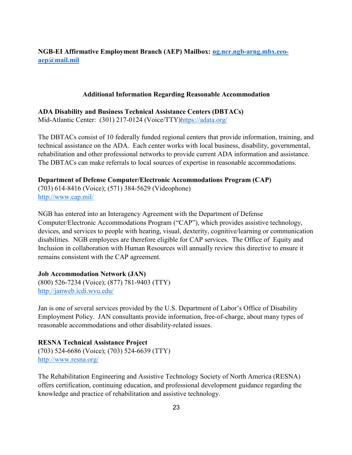### **NGB-EI Affirmative Employment Branch (AEP) Mailbox: [ng.ncr.ngb-arng.mbx.eeo](mailto:ng.ncr.ngb-arng.mbx.eeo-aep@mail.mil)[aep@mail.mil](mailto:ng.ncr.ngb-arng.mbx.eeo-aep@mail.mil)**

#### **Additional Information Regarding Reasonable Accommodation**

**ADA Disability and Business Technical Assistance Centers (DBTACs)**

Mid-Atlantic Center: (301) 217-0124 (Voice/TTY[\)https://adata.org/](https://adata.org/)

The DBTACs consist of 10 federally funded regional centers that provide information, training, and technical assistance on the ADA. Each center works with local business, disability, governmental, rehabilitation and other professional networks to provide current ADA information and assistance. The DBTACs can make referrals to local sources of expertise in reasonable accommodations.

### **Department of Defense Computer/Electronic Accommodations Program (CAP)**

(703) 614-8416 (Voice); (571) 384-5629 (Videophone) <http://www.cap.mil/>

NGB has entered into an Interagency Agreement with the Department of Defense Computer/Electronic Accommodations Program ("CAP"), which provides assistive technology, devices, and services to people with hearing, visual, dexterity, cognitive/learning or communication disabilities. NGB employees are therefore eligible for CAP services. The Office of Equity and Inclusion in collaboration with Human Resources will annually review this directive to ensure it remains consistent with the CAP agreement.

**Job Accommodation Network (JAN)** (800) 526-7234 (Voice); (877) 781-9403 (TTY) <http://janweb.icdi.wvu.edu/>

Jan is one of several services provided by the U.S. Department of Labor's Office of Disability Employment Policy. JAN consultants provide information, free-of-charge, about many types of reasonable accommodations and other disability-related issues.

**RESNA Technical Assistance Project** (703) 524-6686 (Voice); (703) 524-6639 (TTY)

<http://www.resna.org/>

The Rehabilitation Engineering and Assistive Technology Society of North America (RESNA) offers certification, continuing education, and professional development guidance regarding the knowledge and practice of rehabilitation and assistive technology.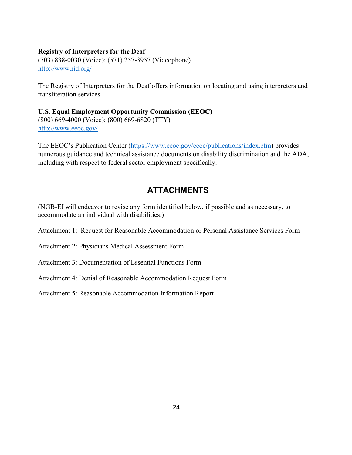#### **Registry of Interpreters for the Deaf**

(703) 838-0030 (Voice); (571) 257-3957 (Videophone) <http://www.rid.org/>

The Registry of Interpreters for the Deaf offers information on locating and using interpreters and transliteration services.

### **U.S. Equal Employment Opportunity Commission (EEOC)** (800) 669-4000 (Voice); (800) 669-6820 (TTY) <http://www.eeoc.gov/>

The EEOC's Publication Center [\(https://www.eeoc.gov/eeoc/publications/index.cfm\)](https://www.eeoc.gov/eeoc/publications/index.cfm) provides numerous guidance and technical assistance documents on disability discrimination and the ADA, including with respect to federal sector employment specifically.

### **ATTACHMENTS**

(NGB-EI will endeavor to revise any form identified below, if possible and as necessary, to accommodate an individual with disabilities.)

Attachment 1: Request for Reasonable Accommodation or Personal Assistance Services Form

Attachment 2: Physicians Medical Assessment Form

Attachment 3: Documentation of Essential Functions Form

Attachment 4: Denial of Reasonable Accommodation Request Form

Attachment 5: Reasonable Accommodation Information Report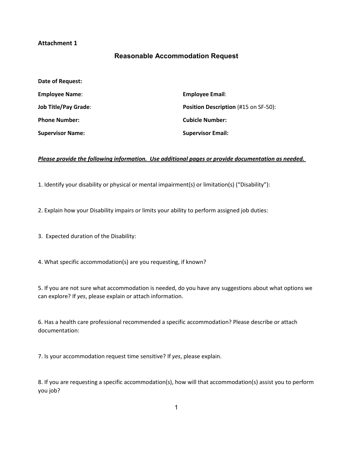#### **Attachment 1**

### **Reasonable Accommodation Request**

| Date of Request:            |                                             |
|-----------------------------|---------------------------------------------|
| <b>Employee Name:</b>       | <b>Employee Email:</b>                      |
| <b>Job Title/Pay Grade:</b> | <b>Position Description (#15 on SF-50):</b> |
| <b>Phone Number:</b>        | <b>Cubicle Number:</b>                      |
| <b>Supervisor Name:</b>     | <b>Supervisor Email:</b>                    |

#### *Please provide the following information. Use additional pages or provide documentation as needed.*

1. Identify your disability or physical or mental impairment(s) or limitation(s) ("Disability"):

2. Explain how your Disability impairs or limits your ability to perform assigned job duties:

3. Expected duration of the Disability:

4. What specific accommodation(s) are you requesting, if known?

5. If you are not sure what accommodation is needed, do you have any suggestions about what options we can explore? If *yes*, please explain or attach information.

6. Has a health care professional recommended a specific accommodation? Please describe or attach documentation:

7. Is your accommodation request time sensitive? If *yes*, please explain.

8. If you are requesting a specific accommodation(s), how will that accommodation(s) assist you to perform you job?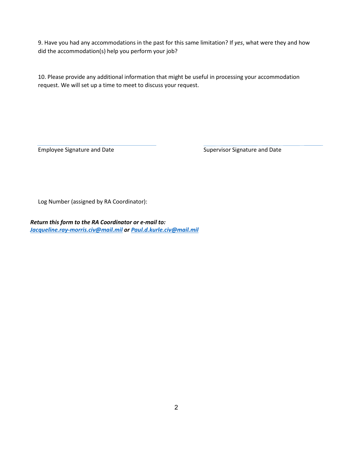9. Have you had any accommodations in the past for this same limitation? If *yes*, what were they and how did the accommodation(s) help you perform your job?

10. Please provide any additional information that might be useful in processing your accommodation request. We will set up a time to meet to discuss your request.

Employee Signature and Date Supervisor Signature and Date Supervisor Signature and Date

Log Number (assigned by RA Coordinator):

*Return this form to the RA Coordinator or e-mail to: [Jacqueline.ray-morris.civ@mail.mil](mailto:Jacqueline.ray-morris.civ@mail.mil) or Paul.d.kurle.civ@mail.mil*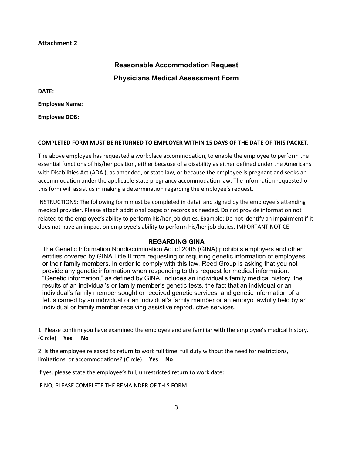#### **Attachment 2**

## **Reasonable Accommodation Request Physicians Medical Assessment Form**

**DATE:** 

**Employee Name:** 

**Employee DOB:**

#### **COMPLETED FORM MUST BE RETURNED TO EMPLOYER WITHIN 15 DAYS OF THE DATE OF THIS PACKET.**

The above employee has requested a workplace accommodation, to enable the employee to perform the essential functions of his/her position, either because of a disability as either defined under the Americans with Disabilities Act (ADA ), as amended, or state law, or because the employee is pregnant and seeks an accommodation under the applicable state pregnancy accommodation law. The information requested on this form will assist us in making a determination regarding the employee's request.

INSTRUCTIONS: The following form must be completed in detail and signed by the employee's attending medical provider. Please attach additional pages or records as needed. Do not provide information not related to the employee's ability to perform his/her job duties. Example: Do not identify an impairment if it does not have an impact on employee's ability to perform his/her job duties. IMPORTANT NOTICE

#### **REGARDING GINA**

The Genetic Information Nondiscrimination Act of 2008 (GINA) prohibits employers and other entities covered by GINA Title II from requesting or requiring genetic information of employees or their family members. In order to comply with this law, Reed Group is asking that you not provide any genetic information when responding to this request for medical information. "Genetic information," as defined by GINA, includes an individual's family medical history, the results of an individual's or family member's genetic tests, the fact that an individual or an individual's family member sought or received genetic services, and genetic information of a fetus carried by an individual or an individual's family member or an embryo lawfully held by an individual or family member receiving assistive reproductive services.

1. Please confirm you have examined the employee and are familiar with the employee's medical history.

(Circle) **Yes No**

2. Is the employee released to return to work full time, full duty without the need for restrictions, limitations, or accommodations? (Circle) **Yes No**

If yes, please state the employee's full, unrestricted return to work date:

IF NO, PLEASE COMPLETE THE REMAINDER OF THIS FORM.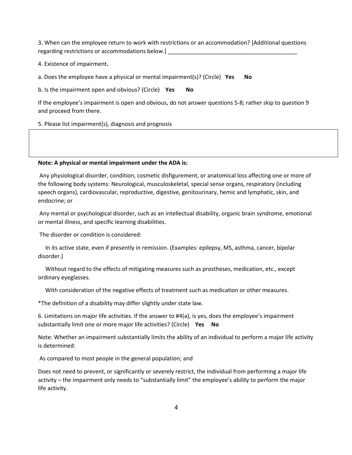3. When can the employee return to work with restrictions or an accommodation? [Additional questions regarding restrictions or accommodations below.]

4. Existence of impairment**.**

a. Does the employee have a physical or mental impairment(s)? (Circle) **Yes No**

b. Is the impairment open and obvious? (Circle) **Yes No**

If the employee's impairment is open and obvious, do not answer questions 5-8; rather skip to question 9 and proceed from there.

5. Please list impairment(s), diagnosis and prognosis

#### **Note: A physical or mental impairment under the ADA is:**

Any physiological disorder, condition, cosmetic disfigurement, or anatomical loss affecting one or more of the following body systems: Neurological, musculoskeletal, special sense organs, respiratory (including speech organs), cardiovascular, reproductive, digestive, genitourinary, hemic and lymphatic, skin, and endocrine; or

Any mental or psychological disorder, such as an intellectual disability, organic brain syndrome, emotional or mental illness, and specific learning disabilities.

The disorder or condition is considered:

 In its active state, even if presently in remission. (Examples: epilepsy, MS, asthma, cancer, bipolar disorder.)

 Without regard to the effects of mitigating measures such as prostheses, medication, etc., except ordinary eyeglasses.

With consideration of the negative effects of treatment such as medication or other measures.

\*The definition of a disability may differ slightly under state law.

6. Limitations on major life activities. If the answer to #4(a), is yes, does the employee's impairment substantially limit one or more major life activities? (Circle) **Yes No**

Note: Whether an impairment substantially limits the ability of an individual to perform a major life activity is determined:

As compared to most people in the general population; and

Does not need to prevent, or significantly or severely restrict, the individual from performing a major life activity – the impairment only needs to "substantially limit" the employee's ability to perform the major life activity.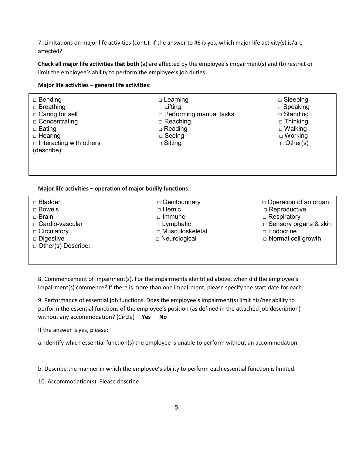7. Limitations on major life activities (cont.). If the answer to #6 is yes, which major life activity(s) is/are affected?

**Check all major life activities that both** (a) are affected by the employee's impairment(s) and (b) restrict or limit the employee's ability to perform the employee's job duties.

#### **Major life activities – general life activities**:

| $\Box$ Bending<br>$\Box$ Breathing<br>$\Box$ Caring for self<br>$\Box$ Concentrating<br>$\Box$ Eating<br>$\Box$ Hearing<br>$\Box$ Interacting with others<br>(describe): | $\Box$ Learning<br>$\Box$ Lifting<br>$\Box$ Performing manual tasks<br>$\Box$ Reaching<br>$\Box$ Reading<br>$\Box$ Seeing<br>$\Box$ Sitting | $\Box$ Sleeping<br>$\Box$ Speaking<br>$\Box$ Standing<br>$\Box$ Thinking<br>$\Box$ Walking<br>$\Box$ Working<br>$\Box$ Other(s) |
|--------------------------------------------------------------------------------------------------------------------------------------------------------------------------|---------------------------------------------------------------------------------------------------------------------------------------------|---------------------------------------------------------------------------------------------------------------------------------|
|                                                                                                                                                                          |                                                                                                                                             |                                                                                                                                 |

#### **Major life activities – operation of major bodily functions**:

| □ Bladder<br>$\Box$ Bowels<br>□ Brain<br>□ Cardio-vascular<br>$\Box$ Circulatory<br>$\square$ Digestive<br>$\Box$ Other(s) Describe: | □ Genitourinary<br>$\Box$ Hemic<br>$\Box$ Immune<br>$\Box$ Lymphatic<br>□ Musculoskeletal<br>$\Box$ Neurological | $\Box$ Operation of an organ<br>$\Box$ Reproductive<br>$\Box$ Respiratory<br>$\Box$ Sensory organs & skin<br>$\Box$ Endocrine<br>$\Box$ Normal cell growth |
|--------------------------------------------------------------------------------------------------------------------------------------|------------------------------------------------------------------------------------------------------------------|------------------------------------------------------------------------------------------------------------------------------------------------------------|
|                                                                                                                                      |                                                                                                                  |                                                                                                                                                            |

8. Commencement of impairment(s). For the impairments identified above, when did the employee's impairment(s) commence? If there is more than one impairment, please specify the start date for each:

9. Performance of essential job functions. Does the employee's impairment(s) limit his/her ability to perform the essential functions of the employee's position (as defined in the attached job description) without any accommodation? (Circle) **Yes No**

If the answer is yes, please:

a. Identify which essential function(s) the employee is unable to perform without an accommodation:

b. Describe the manner in which the employee's ability to perform each essential function is limited:

10. Accommodation(s). Please describe: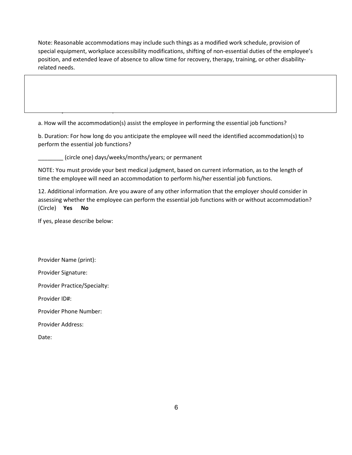Note: Reasonable accommodations may include such things as a modified work schedule, provision of special equipment, workplace accessibility modifications, shifting of non-essential duties of the employee's position, and extended leave of absence to allow time for recovery, therapy, training, or other disabilityrelated needs.

a. How will the accommodation(s) assist the employee in performing the essential job functions?

b. Duration: For how long do you anticipate the employee will need the identified accommodation(s) to perform the essential job functions?

\_\_\_\_\_\_\_\_ (circle one) days/weeks/months/years; or permanent

essential job functions. If so please describe describes described and the society of the society of the society of the society of the society of the society of the society of the society of the society of the society of t

NOTE: You must provide your best medical judgment, based on current information, as to the length of time the employee will need an accommodation to perform his/her essential job functions.

12. Additional information. Are you aware of any other information that the employer should consider in assessing whether the employee can perform the essential job functions with or without accommodation? (Circle) **Yes No**

If yes, please describe below:

Provider Name (print):

Provider Signature:

Provider Practice/Specialty:

Provider ID#:

Provider Phone Number:

Provider Address:

Date: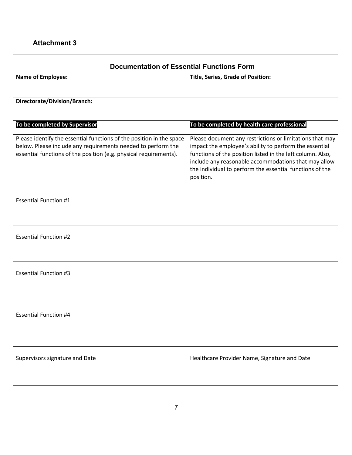### **Attachment 3**

| <b>Documentation of Essential Functions Form</b>                                                                                                                                                          |                                                                                                                                                                                                                                                                                                                   |  |  |  |
|-----------------------------------------------------------------------------------------------------------------------------------------------------------------------------------------------------------|-------------------------------------------------------------------------------------------------------------------------------------------------------------------------------------------------------------------------------------------------------------------------------------------------------------------|--|--|--|
| <b>Name of Employee:</b>                                                                                                                                                                                  | <b>Title, Series, Grade of Position:</b>                                                                                                                                                                                                                                                                          |  |  |  |
| Directorate/Division/Branch:                                                                                                                                                                              |                                                                                                                                                                                                                                                                                                                   |  |  |  |
| To be completed by Supervisor                                                                                                                                                                             | To be completed by health care professional                                                                                                                                                                                                                                                                       |  |  |  |
| Please identify the essential functions of the position in the space<br>below. Please include any requirements needed to perform the<br>essential functions of the position (e.g. physical requirements). | Please document any restrictions or limitations that may<br>impact the employee's ability to perform the essential<br>functions of the position listed in the left column. Also,<br>include any reasonable accommodations that may allow<br>the individual to perform the essential functions of the<br>position. |  |  |  |
| <b>Essential Function #1</b>                                                                                                                                                                              |                                                                                                                                                                                                                                                                                                                   |  |  |  |
| <b>Essential Function #2</b>                                                                                                                                                                              |                                                                                                                                                                                                                                                                                                                   |  |  |  |
| <b>Essential Function #3</b>                                                                                                                                                                              |                                                                                                                                                                                                                                                                                                                   |  |  |  |
| <b>Essential Function #4</b>                                                                                                                                                                              |                                                                                                                                                                                                                                                                                                                   |  |  |  |
| Supervisors signature and Date                                                                                                                                                                            | Healthcare Provider Name, Signature and Date                                                                                                                                                                                                                                                                      |  |  |  |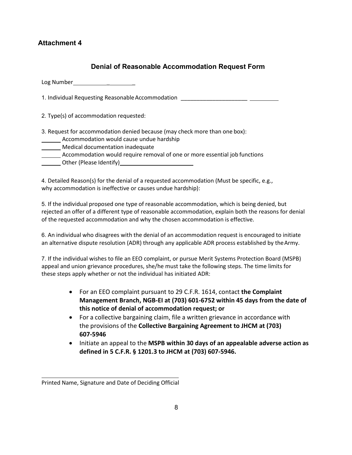### **Attachment 4**

### **Denial of Reasonable Accommodation Request Form**

Log Number \_ \_

1. Individual Requesting Reasonable Accommodation

2. Type(s) of accommodation requested:

3. Request for accommodation denied because (may check more than one box):

- **Accommodation would cause undue hardship**
- **Medical documentation inadequate**
- **\_\_\_\_\_\_** Accommodation would require removal of one or more essential job functions
- **CORECTER (Please Identify) CONFIDENT CONFIDENT**

4. Detailed Reason(s) for the denial of a requested accommodation (Must be specific, e.g., why accommodation is ineffective or causes undue hardship):

5. If the individual proposed one type of reasonable accommodation, which is being denied, but rejected an offer of a different type of reasonable accommodation, explain both the reasons for denial of the requested accommodation and why the chosen accommodation is effective.

6. An individual who disagrees with the denial of an accommodation request is encouraged to initiate an alternative dispute resolution (ADR) through any applicable ADR process established by the Army.

7. If the individual wishes to file an EEO complaint, or pursue Merit Systems Protection Board (MSPB) appeal and union grievance procedures, she/he must take the following steps. The time limits for these steps apply whether or not the individual has initiated ADR:

- For an EEO complaint pursuant to 29 C.F.R. 1614, contact **the Complaint Management Branch, NGB-EI at (703) 601-6752 within 45 days from the date of this notice of denial of accommodation request; or**
- For a collective bargaining claim, file a written grievance in accordance with the provisions of the **Collective Bargaining Agreement to JHCM at (703) 607-5946**
- Initiate an appeal to the **MSPB within 30 days of an appealable adverse action as defined in 5 C.F.R. § 1201.3 to JHCM at (703) 607-5946.**

 Printed Name, Signature and Date of Deciding Official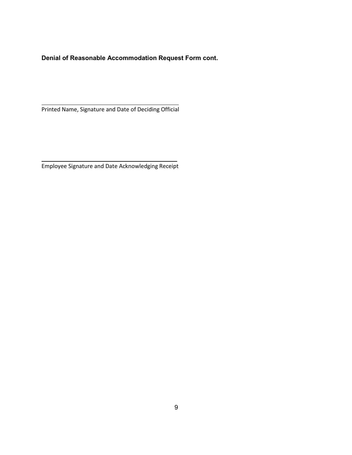**Denial of Reasonable Accommodation Request Form cont.**

 Printed Name, Signature and Date of Deciding Official

Employee Signature and Date Acknowledging Receipt

L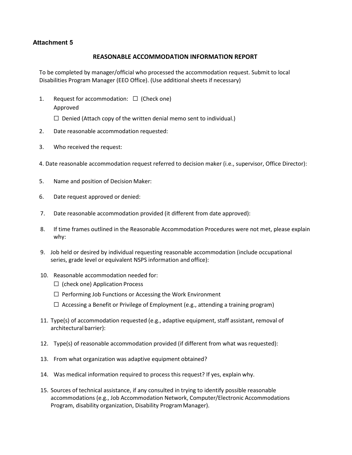### **Attachment 5**

#### **REASONABLE ACCOMMODATION INFORMATION REPORT**

To be completed by manager/official who processed the accommodation request. Submit to local Disabilities Program Manager (EEO Office). (Use additional sheets if necessary)

- 1. Request for accommodation:  $\Box$  (Check one) Approved
	- $\Box$  Denied (Attach copy of the written denial memo sent to individual.)
- 2. Date reasonable accommodation requested:
- 3. Who received the request:
- 4. Date reasonable accommodation request referred to decision maker (i.e., supervisor, Office Director):
- 5. Name and position of Decision Maker:
- 6. Date request approved or denied:
- 7. Date reasonable accommodation provided (it different from date approved):
- 8. If time frames outlined in the Reasonable Accommodation Procedures were not met, please explain why:
- 9. Job held or desired by individual requesting reasonable accommodation (include occupational series, grade level or equivalent NSPS information and office):
- 10. Reasonable accommodation needed for:
	- $\Box$  (check one) Application Process
	- $\Box$  Performing Job Functions or Accessing the Work Environment
	- $\Box$  Accessing a Benefit or Privilege of Employment (e.g., attending a training program)
- 11. Type(s) of accommodation requested (e.g., adaptive equipment, staff assistant, removal of architectural barrier):
- 12. Type(s) of reasonable accommodation provided (if different from what was requested):
- 13. From what organization was adaptive equipment obtained?
- 14. Was medical information required to process this request? If yes, explain why.
- 15. Sources of technical assistance, if any consulted in trying to identify possible reasonable accommodations (e.g., Job Accommodation Network, Computer/Electronic Accommodations Program, disability organization, Disability Program Manager).